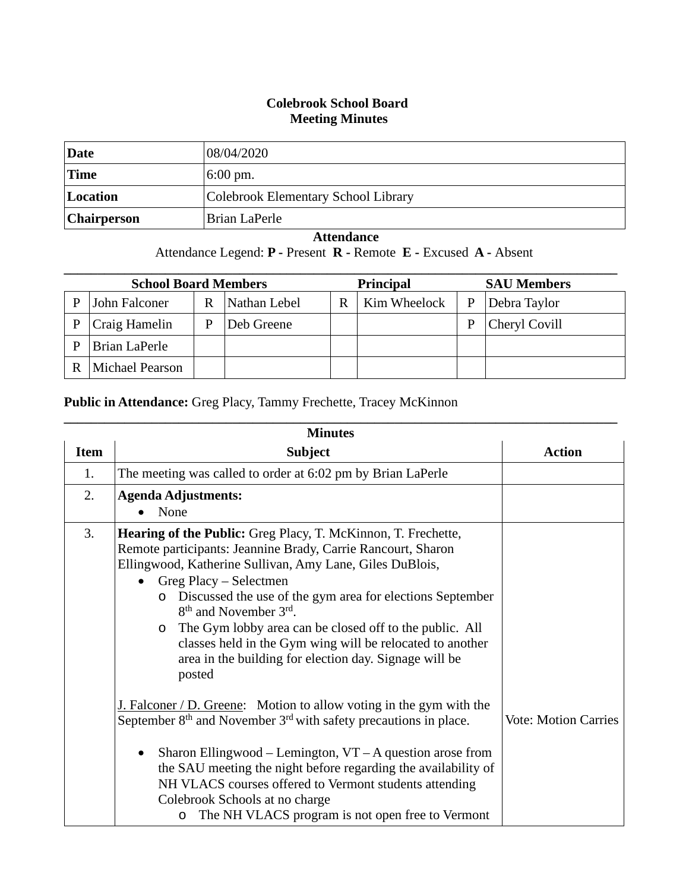## **Colebrook School Board Meeting Minutes**

| Date               | 08/04/2020                          |
|--------------------|-------------------------------------|
| <b>Time</b>        | $6:00 \text{ pm}$ .                 |
| Location           | Colebrook Elementary School Library |
| <b>Chairperson</b> | Brian LaPerle                       |

## **Attendance**

## Attendance Legend: **P -** Present **R -** Remote **E -** Excused **A -** Absent

| <b>School Board Members</b> |                        |   | <b>Principal</b> |   | <b>SAU Members</b> |   |               |
|-----------------------------|------------------------|---|------------------|---|--------------------|---|---------------|
| D                           | John Falconer          | R | Nathan Lebel     | R | Kim Wheelock       | P | Debra Taylor  |
| D                           | Craig Hamelin          | P | Deb Greene       |   |                    | Ρ | Cheryl Covill |
| D                           | Brian LaPerle          |   |                  |   |                    |   |               |
|                             | <b>Michael Pearson</b> |   |                  |   |                    |   |               |

## **Public in Attendance:** Greg Placy, Tammy Frechette, Tracey McKinnon

| <b>Minutes</b> |                                                                                                                                                                                                                                                                                                                                                                                                                                                                                                                                                                                                                                                                                                                                                                                                                                                                                                                      |                             |  |  |
|----------------|----------------------------------------------------------------------------------------------------------------------------------------------------------------------------------------------------------------------------------------------------------------------------------------------------------------------------------------------------------------------------------------------------------------------------------------------------------------------------------------------------------------------------------------------------------------------------------------------------------------------------------------------------------------------------------------------------------------------------------------------------------------------------------------------------------------------------------------------------------------------------------------------------------------------|-----------------------------|--|--|
| <b>Item</b>    | <b>Subject</b>                                                                                                                                                                                                                                                                                                                                                                                                                                                                                                                                                                                                                                                                                                                                                                                                                                                                                                       | <b>Action</b>               |  |  |
| 1.             | The meeting was called to order at 6:02 pm by Brian LaPerle                                                                                                                                                                                                                                                                                                                                                                                                                                                                                                                                                                                                                                                                                                                                                                                                                                                          |                             |  |  |
| 2.             | <b>Agenda Adjustments:</b><br>None                                                                                                                                                                                                                                                                                                                                                                                                                                                                                                                                                                                                                                                                                                                                                                                                                                                                                   |                             |  |  |
| 3.             | <b>Hearing of the Public:</b> Greg Placy, T. McKinnon, T. Frechette,<br>Remote participants: Jeannine Brady, Carrie Rancourt, Sharon<br>Ellingwood, Katherine Sullivan, Amy Lane, Giles DuBlois,<br>Greg Placy - Selectmen<br>$\bullet$<br>Discussed the use of the gym area for elections September<br>$\circ$<br>8 <sup>th</sup> and November 3 <sup>rd</sup> .<br>The Gym lobby area can be closed off to the public. All<br>$\circ$<br>classes held in the Gym wing will be relocated to another<br>area in the building for election day. Signage will be<br>posted<br>J. Falconer $/D$ . Greene: Motion to allow voting in the gym with the<br>September $8th$ and November $3rd$ with safety precautions in place.<br>Sharon Ellingwood – Lemington, $VT - A$ question arose from<br>the SAU meeting the night before regarding the availability of<br>NH VLACS courses offered to Vermont students attending | <b>Vote: Motion Carries</b> |  |  |
|                | Colebrook Schools at no charge<br>The NH VLACS program is not open free to Vermont<br>O                                                                                                                                                                                                                                                                                                                                                                                                                                                                                                                                                                                                                                                                                                                                                                                                                              |                             |  |  |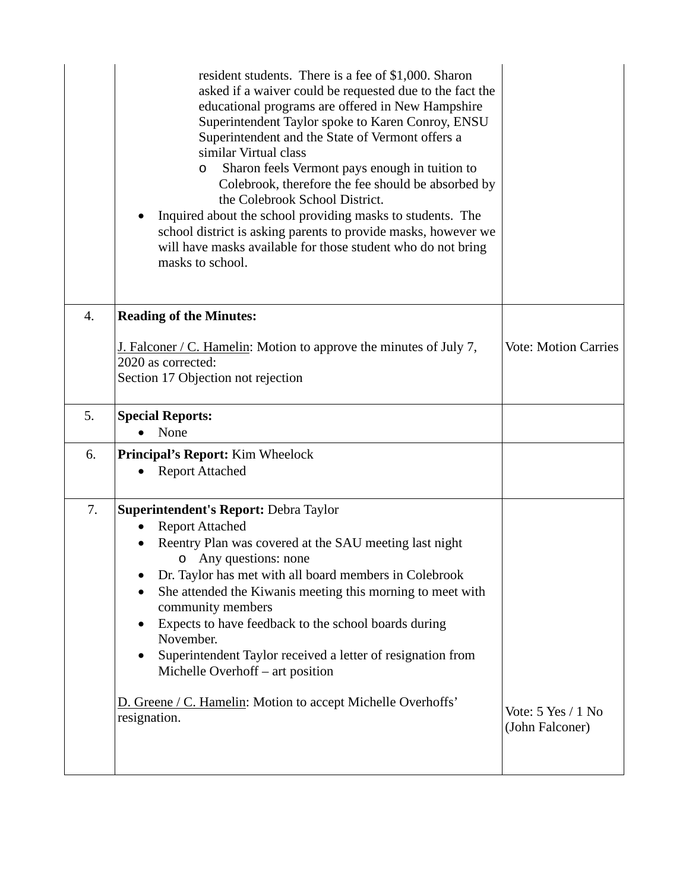|    | resident students. There is a fee of \$1,000. Sharon<br>asked if a waiver could be requested due to the fact the<br>educational programs are offered in New Hampshire<br>Superintendent Taylor spoke to Karen Conroy, ENSU<br>Superintendent and the State of Vermont offers a<br>similar Virtual class<br>Sharon feels Vermont pays enough in tuition to<br>O<br>Colebrook, therefore the fee should be absorbed by<br>the Colebrook School District.<br>Inquired about the school providing masks to students. The<br>school district is asking parents to provide masks, however we<br>will have masks available for those student who do not bring<br>masks to school. |                                       |
|----|----------------------------------------------------------------------------------------------------------------------------------------------------------------------------------------------------------------------------------------------------------------------------------------------------------------------------------------------------------------------------------------------------------------------------------------------------------------------------------------------------------------------------------------------------------------------------------------------------------------------------------------------------------------------------|---------------------------------------|
| 4. | <b>Reading of the Minutes:</b>                                                                                                                                                                                                                                                                                                                                                                                                                                                                                                                                                                                                                                             |                                       |
|    | J. Falconer / C. Hamelin: Motion to approve the minutes of July 7,<br>2020 as corrected:<br>Section 17 Objection not rejection                                                                                                                                                                                                                                                                                                                                                                                                                                                                                                                                             | <b>Vote: Motion Carries</b>           |
| 5. | <b>Special Reports:</b><br>None                                                                                                                                                                                                                                                                                                                                                                                                                                                                                                                                                                                                                                            |                                       |
|    |                                                                                                                                                                                                                                                                                                                                                                                                                                                                                                                                                                                                                                                                            |                                       |
| 6. | <b>Principal's Report:</b> Kim Wheelock<br><b>Report Attached</b>                                                                                                                                                                                                                                                                                                                                                                                                                                                                                                                                                                                                          |                                       |
| 7. | <b>Superintendent's Report: Debra Taylor</b><br><b>Report Attached</b><br>Reentry Plan was covered at the SAU meeting last night<br>o Any questions: none<br>Dr. Taylor has met with all board members in Colebrook<br>She attended the Kiwanis meeting this morning to meet with<br>community members<br>Expects to have feedback to the school boards during<br>$\bullet$<br>November.<br>Superintendent Taylor received a letter of resignation from<br>Michelle Overhoff – art position<br>D. Greene / C. Hamelin: Motion to accept Michelle Overhoffs'<br>resignation.                                                                                                | Vote: 5 Yes / 1 No<br>(John Falconer) |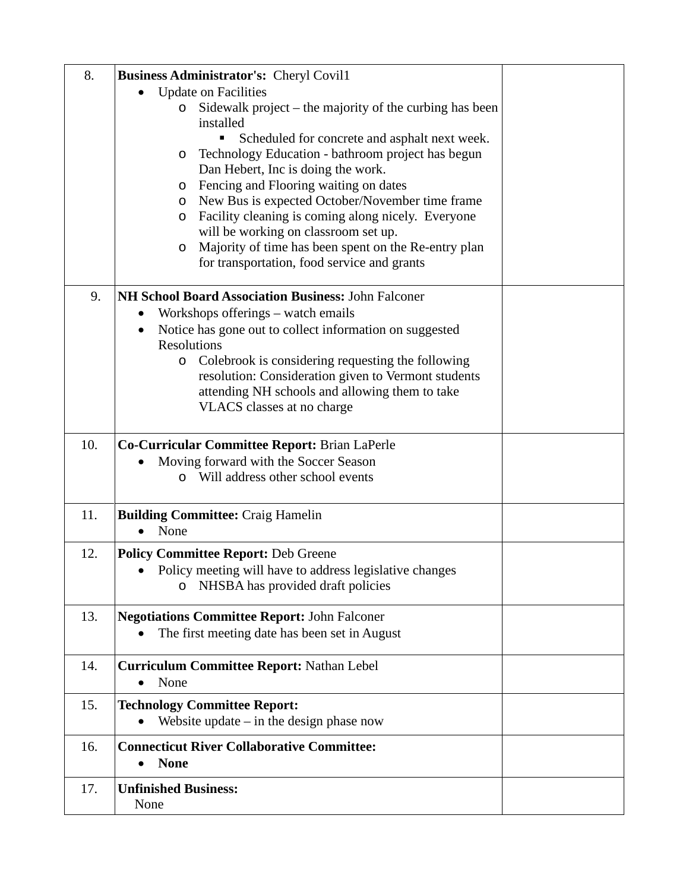| 8.  | <b>Business Administrator's: Cheryl Covil1</b>                                    |  |
|-----|-----------------------------------------------------------------------------------|--|
|     | <b>Update on Facilities</b>                                                       |  |
|     | Sidewalk project $-$ the majority of the curbing has been<br>$\circ$<br>installed |  |
|     | Scheduled for concrete and asphalt next week.                                     |  |
|     | Technology Education - bathroom project has begun<br>$\circ$                      |  |
|     | Dan Hebert, Inc is doing the work.                                                |  |
|     | Fencing and Flooring waiting on dates<br>$\circ$                                  |  |
|     | New Bus is expected October/November time frame<br>$\circ$                        |  |
|     | Facility cleaning is coming along nicely. Everyone<br>$\circ$                     |  |
|     | will be working on classroom set up.                                              |  |
|     | Majority of time has been spent on the Re-entry plan<br>O                         |  |
|     | for transportation, food service and grants                                       |  |
| 9.  | NH School Board Association Business: John Falconer                               |  |
|     | Workshops offerings – watch emails                                                |  |
|     | Notice has gone out to collect information on suggested<br>$\bullet$              |  |
|     | Resolutions                                                                       |  |
|     | Colebrook is considering requesting the following<br>$\circ$                      |  |
|     | resolution: Consideration given to Vermont students                               |  |
|     | attending NH schools and allowing them to take<br>VLACS classes at no charge      |  |
|     |                                                                                   |  |
| 10. | Co-Curricular Committee Report: Brian LaPerle                                     |  |
|     | Moving forward with the Soccer Season                                             |  |
|     | o Will address other school events                                                |  |
| 11. | <b>Building Committee: Craig Hamelin</b>                                          |  |
|     | None                                                                              |  |
| 12. | <b>Policy Committee Report: Deb Greene</b>                                        |  |
|     | Policy meeting will have to address legislative changes                           |  |
|     | NHSBA has provided draft policies<br>O                                            |  |
| 13. | <b>Negotiations Committee Report: John Falconer</b>                               |  |
|     | The first meeting date has been set in August                                     |  |
|     |                                                                                   |  |
| 14. | <b>Curriculum Committee Report: Nathan Lebel</b>                                  |  |
|     | None<br>$\bullet$                                                                 |  |
| 15. | <b>Technology Committee Report:</b>                                               |  |
|     | Website update $-$ in the design phase now<br>$\bullet$                           |  |
| 16. | <b>Connecticut River Collaborative Committee:</b>                                 |  |
|     | <b>None</b><br>$\bullet$                                                          |  |
| 17. | <b>Unfinished Business:</b>                                                       |  |
|     | None                                                                              |  |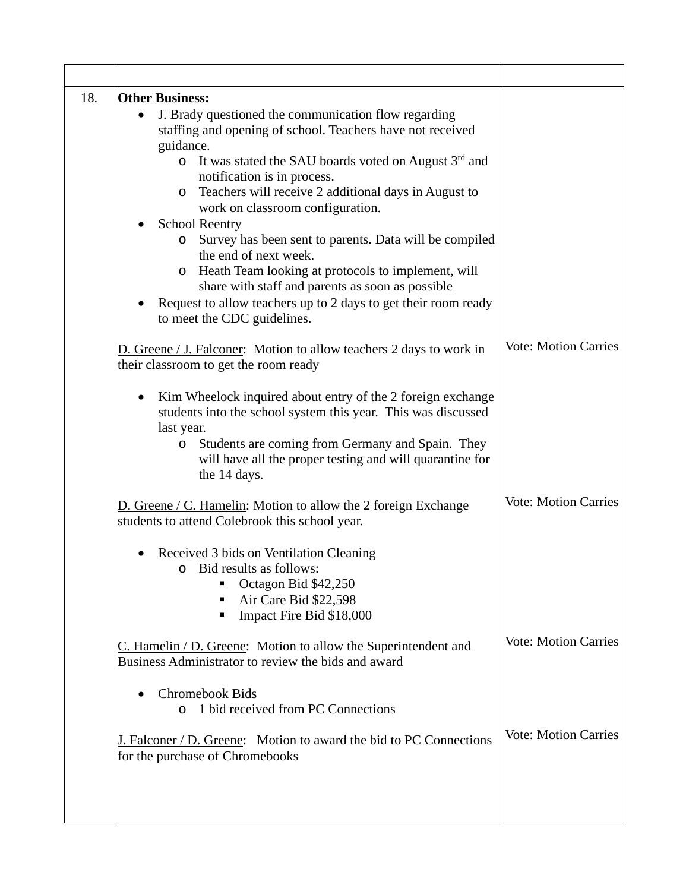| 18. | <b>Other Business:</b>                                                                                                                                                                                                                                                                                                                                                           |                             |
|-----|----------------------------------------------------------------------------------------------------------------------------------------------------------------------------------------------------------------------------------------------------------------------------------------------------------------------------------------------------------------------------------|-----------------------------|
|     | J. Brady questioned the communication flow regarding<br>$\bullet$<br>staffing and opening of school. Teachers have not received<br>guidance.<br>It was stated the SAU boards voted on August $3rd$ and<br>$\circ$<br>notification is in process.<br>Teachers will receive 2 additional days in August to<br>$\circ$<br>work on classroom configuration.<br><b>School Reentry</b> |                             |
|     | Survey has been sent to parents. Data will be compiled<br>$\circ$<br>the end of next week.<br>Heath Team looking at protocols to implement, will<br>$\circ$<br>share with staff and parents as soon as possible<br>Request to allow teachers up to 2 days to get their room ready<br>to meet the CDC guidelines.                                                                 |                             |
|     | D. Greene / J. Falconer: Motion to allow teachers 2 days to work in<br>their classroom to get the room ready                                                                                                                                                                                                                                                                     | <b>Vote: Motion Carries</b> |
|     | Kim Wheelock inquired about entry of the 2 foreign exchange<br>students into the school system this year. This was discussed<br>last year.<br>Students are coming from Germany and Spain. They<br>$\circ$<br>will have all the proper testing and will quarantine for<br>the 14 days.                                                                                            |                             |
|     | D. Greene / C. Hamelin: Motion to allow the 2 foreign Exchange<br>students to attend Colebrook this school year.                                                                                                                                                                                                                                                                 | <b>Vote: Motion Carries</b> |
|     | Received 3 bids on Ventilation Cleaning<br>o Bid results as follows:<br>Octagon Bid \$42,250<br>Air Care Bid \$22,598<br>Impact Fire Bid \$18,000                                                                                                                                                                                                                                |                             |
|     | $C.$ Hamelin / D. Greene: Motion to allow the Superintendent and<br>Business Administrator to review the bids and award                                                                                                                                                                                                                                                          | <b>Vote: Motion Carries</b> |
|     | <b>Chromebook Bids</b><br>1 bid received from PC Connections<br>$\circ$                                                                                                                                                                                                                                                                                                          |                             |
|     | J. Falconer / D. Greene: Motion to award the bid to PC Connections<br>for the purchase of Chromebooks                                                                                                                                                                                                                                                                            | <b>Vote: Motion Carries</b> |